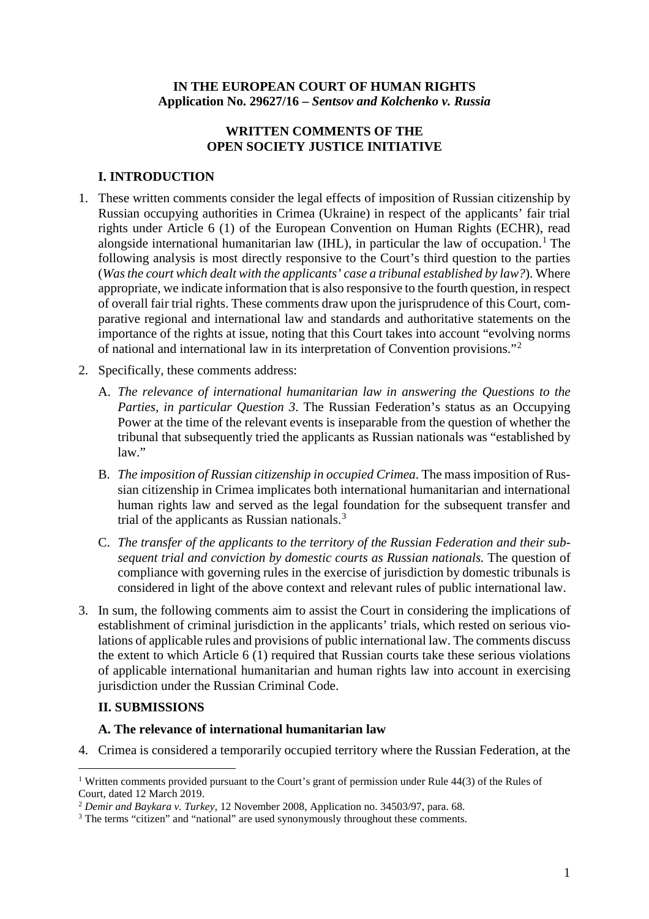### **IN THE EUROPEAN COURT OF HUMAN RIGHTS Application No. 29627/16 –** *Sentsov and Kolchenko v. Russia*

# **WRITTEN COMMENTS OF THE OPEN SOCIETY JUSTICE INITIATIVE**

# **I. INTRODUCTION**

- 1. These written comments consider the legal effects of imposition of Russian citizenship by Russian occupying authorities in Crimea (Ukraine) in respect of the applicants' fair trial rights under Article 6 (1) of the European Convention on Human Rights (ECHR), read alongside international humanitarian law (IHL), in particular the law of occupation.<sup>[1](#page-0-0)</sup> The following analysis is most directly responsive to the Court's third question to the parties (*Wasthe court which dealt with the applicants' case a tribunal established by law?*). Where appropriate, we indicate information that is also responsive to the fourth question, in respect of overall fair trial rights. These comments draw upon the jurisprudence of this Court, comparative regional and international law and standards and authoritative statements on the importance of the rights at issue, noting that this Court takes into account "evolving norms of national and international law in its interpretation of Convention provisions."[2](#page-0-1)
- 2. Specifically, these comments address:
	- A. *The relevance of international humanitarian law in answering the Questions to the Parties, in particular Question 3*. The Russian Federation's status as an Occupying Power at the time of the relevant events is inseparable from the question of whether the tribunal that subsequently tried the applicants as Russian nationals was "established by law."
	- B. *The imposition of Russian citizenship in occupied Crimea*. The mass imposition of Russian citizenship in Crimea implicates both international humanitarian and international human rights law and served as the legal foundation for the subsequent transfer and trial of the applicants as Russian nationals.<sup>[3](#page-0-2)</sup>
	- C. *The transfer of the applicants to the territory of the Russian Federation and their subsequent trial and conviction by domestic courts as Russian nationals.* The question of compliance with governing rules in the exercise of jurisdiction by domestic tribunals is considered in light of the above context and relevant rules of public international law.
- 3. In sum, the following comments aim to assist the Court in considering the implications of establishment of criminal jurisdiction in the applicants' trials, which rested on serious violations of applicable rules and provisions of public international law. The comments discuss the extent to which Article 6 (1) required that Russian courts take these serious violations of applicable international humanitarian and human rights law into account in exercising jurisdiction under the Russian Criminal Code.

# **II. SUBMISSIONS**

# **A. The relevance of international humanitarian law**

4. Crimea is considered a temporarily occupied territory where the Russian Federation, at the

<span id="page-0-0"></span><sup>&</sup>lt;sup>1</sup> Written comments provided pursuant to the Court's grant of permission under Rule 44(3) of the Rules of Court, dated 12 March 2019.

<span id="page-0-1"></span><sup>2</sup> *Demir and Baykara v. Turkey*, 12 November 2008, Application no. [34503/97,](https://hudoc.echr.coe.int/eng%23%257B%2522appno%2522:%255B%252234503/97%2522%255D%257D) para. 68.

<span id="page-0-2"></span><sup>&</sup>lt;sup>3</sup> The terms "citizen" and "national" are used synonymously throughout these comments.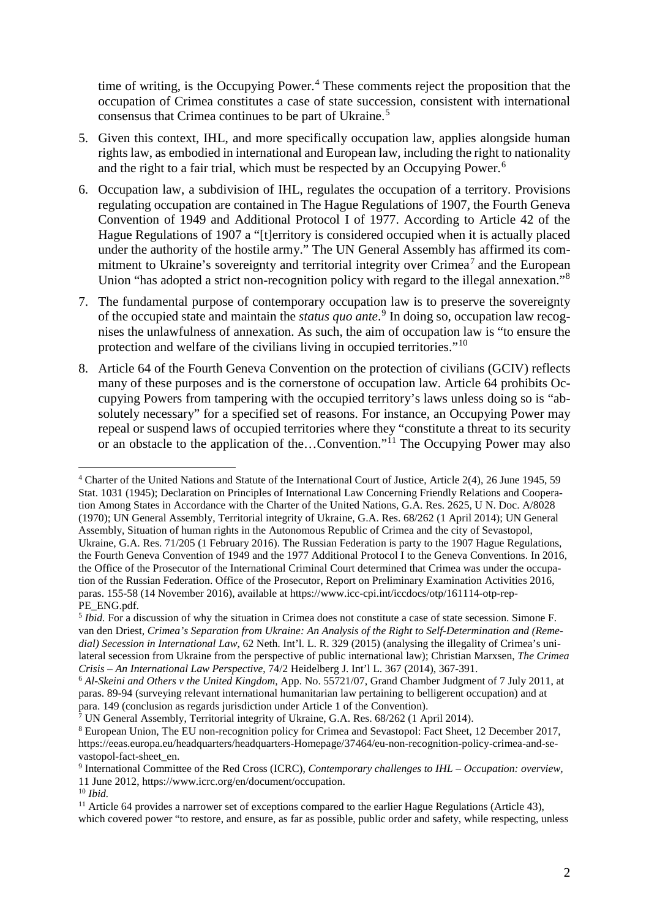time of writing, is the Occupying Power.<sup>[4](#page-1-0)</sup> These comments reject the proposition that the occupation of Crimea constitutes a case of state succession, consistent with international consensus that Crimea continues to be part of Ukraine.[5](#page-1-1)

- 5. Given this context, IHL, and more specifically occupation law, applies alongside human rights law, as embodied in international and European law, including the right to nationality and the right to a fair trial, which must be respected by an Occupying Power.<sup>[6](#page-1-2)</sup>
- 6. Occupation law, a subdivision of IHL, regulates the occupation of a territory. Provisions regulating occupation are contained in The Hague Regulations of 1907, the Fourth Geneva Convention of 1949 and Additional Protocol I of 1977. According to Article 42 of the Hague Regulations of 1907 a "[t]erritory is considered occupied when it is actually placed under the authority of the hostile army." The UN General Assembly has affirmed its com-mitment to Ukraine's sovereignty and territorial integrity over Crimea<sup>[7](#page-1-3)</sup> and the European Union "has adopted a strict non-recognition policy with regard to the illegal annexation."[8](#page-1-4)
- 7. The fundamental purpose of contemporary occupation law is to preserve the sovereignty of the occupied state and maintain the *status quo ante*. [9](#page-1-5) In doing so, occupation law recognises the unlawfulness of annexation. As such, the aim of occupation law is "to ensure the protection and welfare of the civilians living in occupied territories."[10](#page-1-6)
- 8. Article 64 of the Fourth Geneva Convention on the protection of civilians (GCIV) reflects many of these purposes and is the cornerstone of occupation law. Article 64 prohibits Occupying Powers from tampering with the occupied territory's laws unless doing so is "absolutely necessary" for a specified set of reasons. For instance, an Occupying Power may repeal or suspend laws of occupied territories where they "constitute a threat to its security or an obstacle to the application of the...Convention."<sup>[11](#page-1-7)</sup> The Occupying Power may also

<span id="page-1-0"></span> <sup>4</sup> Charter of the United Nations and Statute of the International Court of Justice, Article 2(4), <sup>26</sup> June 1945, <sup>59</sup> Stat. 1031 (1945); Declaration on Principles of International Law Concerning Friendly Relations and Cooperation Among States in Accordance with the Charter of the United Nations, G.A. Res. 2625, U N. Doc. A/8028 (1970); UN General Assembly, Territorial integrity of Ukraine, G.A. Res. 68/262 (1 April 2014); UN General Assembly, Situation of human rights in the Autonomous Republic of Crimea and the city of Sevastopol, Ukraine, G.A. Res. 71/205 (1 February 2016). The Russian Federation is party to the 1907 Hague Regulations, the Fourth Geneva Convention of 1949 and the 1977 Additional Protocol I to the Geneva Conventions. In 2016, the Office of the Prosecutor of the International Criminal Court determined that Crimea was under the occupation of the Russian Federation. Office of the Prosecutor, Report on Preliminary Examination Activities 2016, paras. 155-58 (14 November 2016), available at https://www.icc-cpi.int/iccdocs/otp/161114-otp-rep-PE\_ENG.pdf.

<span id="page-1-1"></span><sup>&</sup>lt;sup>5</sup> *Ibid.* For a discussion of why the situation in Crimea does not constitute a case of state secession. Simone F. van den Driest*, Crimea's Separation from Ukraine: An Analysis of the Right to Self-Determination and (Remedial) Secession in International Law*, 62 Neth. Int'l. L. R. 329 (2015) (analysing the illegality of Crimea's unilateral secession from Ukraine from the perspective of public international law); Christian Marxsen, *The Crimea Crisis – An International Law Perspective*, 74/2 Heidelberg J. Int'l L. 367 (2014), 367-391.

<span id="page-1-2"></span><sup>6</sup> *Al-Skeini and Others v the United Kingdom*, App. No. 55721/07, Grand Chamber Judgment of 7 July 2011, at paras. 89-94 (surveying relevant international humanitarian law pertaining to belligerent occupation) and at para. 149 (conclusion as regards jurisdiction under Article 1 of the Convention).

<span id="page-1-3"></span> $\bar{7}$  UN General Assembly, Territorial integrity of Ukraine, G.A. Res. 68/262 (1 April 2014).

<span id="page-1-4"></span><sup>8</sup> European Union, The EU non-recognition policy for Crimea and Sevastopol: Fact Sheet, 12 December 2017, https://eeas.europa.eu/headquarters/headquarters-Homepage/37464/eu-non-recognition-policy-crimea-and-sevastopol-fact-sheet\_en.

<span id="page-1-5"></span><sup>9</sup> International Committee of the Red Cross (ICRC), *Contemporary challenges to IHL – Occupation: overview,* 11 June 2012, https://www.icrc.org/en/document/occupation.

<span id="page-1-6"></span><sup>10</sup> *Ibid.*

<span id="page-1-7"></span> $11$  Article 64 provides a narrower set of exceptions compared to the earlier Hague Regulations (Article 43), which covered power "to restore, and ensure, as far as possible, public order and safety, while respecting, unless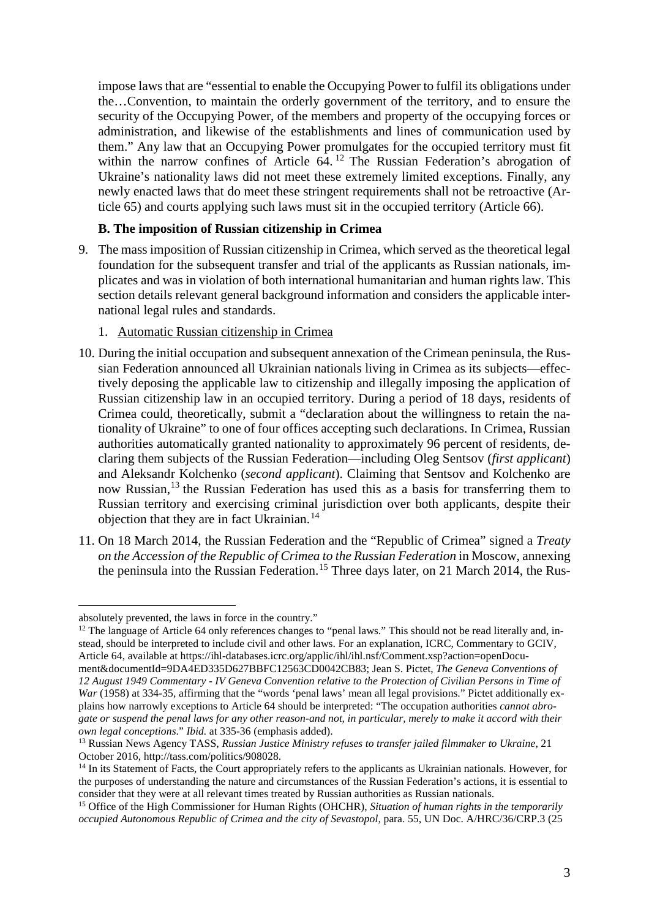impose laws that are "essential to enable the Occupying Power to fulfil its obligations under the…Convention, to maintain the orderly government of the territory, and to ensure the security of the Occupying Power, of the members and property of the occupying forces or administration, and likewise of the establishments and lines of communication used by them." Any law that an Occupying Power promulgates for the occupied territory must fit within the narrow confines of Article 64.<sup>[12](#page-2-0)</sup> The Russian Federation's abrogation of Ukraine's nationality laws did not meet these extremely limited exceptions. Finally, any newly enacted laws that do meet these stringent requirements shall not be retroactive (Article 65) and courts applying such laws must sit in the occupied territory (Article 66).

### **B. The imposition of Russian citizenship in Crimea**

- 9. The mass imposition of Russian citizenship in Crimea, which served as the theoretical legal foundation for the subsequent transfer and trial of the applicants as Russian nationals, implicates and was in violation of both international humanitarian and human rights law. This section details relevant general background information and considers the applicable international legal rules and standards.
	- 1. Automatic Russian citizenship in Crimea
- 10. During the initial occupation and subsequent annexation of the Crimean peninsula, the Russian Federation announced all Ukrainian nationals living in Crimea as its subjects—effectively deposing the applicable law to citizenship and illegally imposing the application of Russian citizenship law in an occupied territory. During a period of 18 days, residents of Crimea could, theoretically, submit a "declaration about the willingness to retain the nationality of Ukraine" to one of four offices accepting such declarations. In Crimea, Russian authorities automatically granted nationality to approximately 96 percent of residents, declaring them subjects of the Russian Federation—including Oleg Sentsov (*first applicant*) and Aleksandr Kolchenko (*second applicant*). Claiming that Sentsov and Kolchenko are now Russian,<sup>[13](#page-2-1)</sup> the Russian Federation has used this as a basis for transferring them to Russian territory and exercising criminal jurisdiction over both applicants, despite their objection that they are in fact Ukrainian.<sup>[14](#page-2-2)</sup>
- 11. On 18 March 2014, the Russian Federation and the "Republic of Crimea" signed a *Treaty on the Accession of the Republic of Crimea to the Russian Federation* in Moscow, annexing the peninsula into the Russian Federation.<sup>[15](#page-2-3)</sup> Three days later, on 21 March 2014, the Rus-

<span id="page-2-0"></span> $12$  The language of Article 64 only references changes to "penal laws." This should not be read literally and, instead, should be interpreted to include civil and other laws. For an explanation, ICRC, Commentary to GCIV, Article 64, available at https://ihl-databases.icrc.org/applic/ihl/ihl.nsf/Comment.xsp?action=openDocu-

ment&documentId=9DA4ED335D627BBFC12563CD0042CB83; Jean S. Pictet, *The Geneva Conventions of* 12 August 1949 Commentary - IV Geneva Convention relative to the Protection of Civilian Persons in Time of *War* (1958) at 334-35, affirming that the "words 'penal laws' mean all legal provisions." Pictet additionally explains how narrowly exceptions to Article 64 should be interpreted: "The occupation authorities *cannot abro*gate or suspend the penal laws for any other reason-and not, in particular, merely to make it accord with their *own legal conceptions*." *Ibid.* at 335-36 (emphasis added).

absolutely prevented, the laws in force in the country."

<span id="page-2-1"></span><sup>13</sup> Russian News Agency TASS, *Russian Justice Ministry refuses to transfer jailed filmmaker to Ukraine*, 21 October 2016, http://tass.com/politics/908028.

<span id="page-2-2"></span><sup>&</sup>lt;sup>14</sup> In its Statement of Facts, the Court appropriately refers to the applicants as Ukrainian nationals. However, for the purposes of understanding the nature and circumstances of the Russian Federation's actions, it is essential to consider that they were at all relevant times treated by Russian authorities as Russian nationals.

<span id="page-2-3"></span><sup>15</sup> Office of the High Commissioner for Human Rights (OHCHR), *Situation of human rights in the temporarily occupied Autonomous Republic of Crimea and the city of Sevastopol,* para. 55, UN Doc. A/HRC/36/CRP.3 (25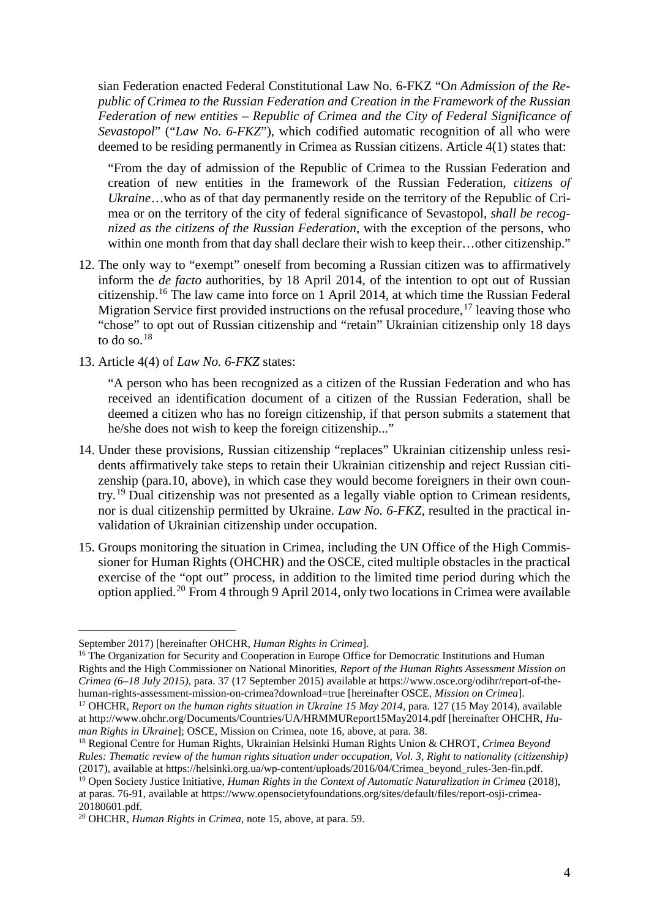sian Federation enacted Federal Constitutional Law No. 6-FKZ "O*n Admission of the Republic of Crimea to the Russian Federation and Creation in the Framework of the Russian Federation of new entities – Republic of Crimea and the City of Federal Significance of Sevastopol*" ("*Law No. 6-FKZ*"), which codified automatic recognition of all who were deemed to be residing permanently in Crimea as Russian citizens. Article 4(1) states that:

"From the day of admission of the Republic of Crimea to the Russian Federation and creation of new entities in the framework of the Russian Federation, *citizens of Ukraine*…who as of that day permanently reside on the territory of the Republic of Crimea or on the territory of the city of federal significance of Sevastopol, *shall be recognized as the citizens of the Russian Federation*, with the exception of the persons, who within one month from that day shall declare their wish to keep their...other citizenship."

- 12. The only way to "exempt" oneself from becoming a Russian citizen was to affirmatively inform the *de facto* authorities, by 18 April 2014, of the intention to opt out of Russian citizenship.[16](#page-3-0) The law came into force on 1 April 2014, at which time the Russian Federal Migration Service first provided instructions on the refusal procedure,  $^{17}$  $^{17}$  $^{17}$  leaving those who "chose" to opt out of Russian citizenship and "retain" Ukrainian citizenship only 18 days to do so. $18$
- 13. Article 4(4) of *Law No. 6-FKZ* states:

"A person who has been recognized as a citizen of the Russian Federation and who has received an identification document of a citizen of the Russian Federation, shall be deemed a citizen who has no foreign citizenship, if that person submits a statement that he/she does not wish to keep the foreign citizenship..."

- 14. Under these provisions, Russian citizenship "replaces" Ukrainian citizenship unless residents affirmatively take steps to retain their Ukrainian citizenship and reject Russian citizenship (para.10, above), in which case they would become foreigners in their own country.[19](#page-3-3) Dual citizenship was not presented as a legally viable option to Crimean residents, nor is dual citizenship permitted by Ukraine. *Law No. 6-FKZ*, resulted in the practical invalidation of Ukrainian citizenship under occupation.
- 15. Groups monitoring the situation in Crimea, including the UN Office of the High Commissioner for Human Rights (OHCHR) and the OSCE, cited multiple obstacles in the practical exercise of the "opt out" process, in addition to the limited time period during which the option applied.[20](#page-3-4) From 4 through 9 April 2014, only two locations in Crimea were available

 $\overline{a}$ 

<span id="page-3-0"></span><sup>16</sup> The Organization for Security and Cooperation in Europe Office for Democratic Institutions and Human Rights and the High Commissioner on National Minorities, *Report of the Human Rights Assessment Mission on Crimea (6–18 July 2015)*, para. 37 (17 September 2015) available at https://www.osce.org/odihr/report-of-thehuman-rights-assessment-mission-on-crimea?download=true [hereinafter OSCE, *Mission on Crimea*].

September 2017) [hereinafter OHCHR, *Human Rights in Crimea*].

<span id="page-3-1"></span><sup>17</sup> OHCHR, *Report on the human rights situation in Ukraine 15 May 2014*, para. 127 (15 May 2014), available at http://www.ohchr.org/Documents/Countries/UA/HRMMUReport15May2014.pdf [hereinafter OHCHR, *Human Rights in Ukraine*]; OSCE, Mission on Crimea, note 16, above, at para. 38.

<span id="page-3-2"></span><sup>18</sup> Regional Centre for Human Rights, Ukrainian Helsinki Human Rights Union & CHROT, *Crimea Beyond* Rules: Thematic review of the human rights situation under occupation, Vol. 3, Right to nationality (citizenship) (2017), available at https://helsinki.org.ua/wp-content/uploads/2016/04/Crimea\_beyond\_rules-3en-fin.pdf.

<span id="page-3-3"></span><sup>19</sup> Open Society Justice Initiative, *Human Rights in the Context of Automatic Naturalization in Crimea* (2018), at paras. 76-91, available at https://www.opensocietyfoundations.org/sites/default/files/report-osji-crimea-20180601.pdf.

<span id="page-3-4"></span><sup>20</sup> OHCHR, *Human Rights in Crimea*, note 15, above, at para. 59.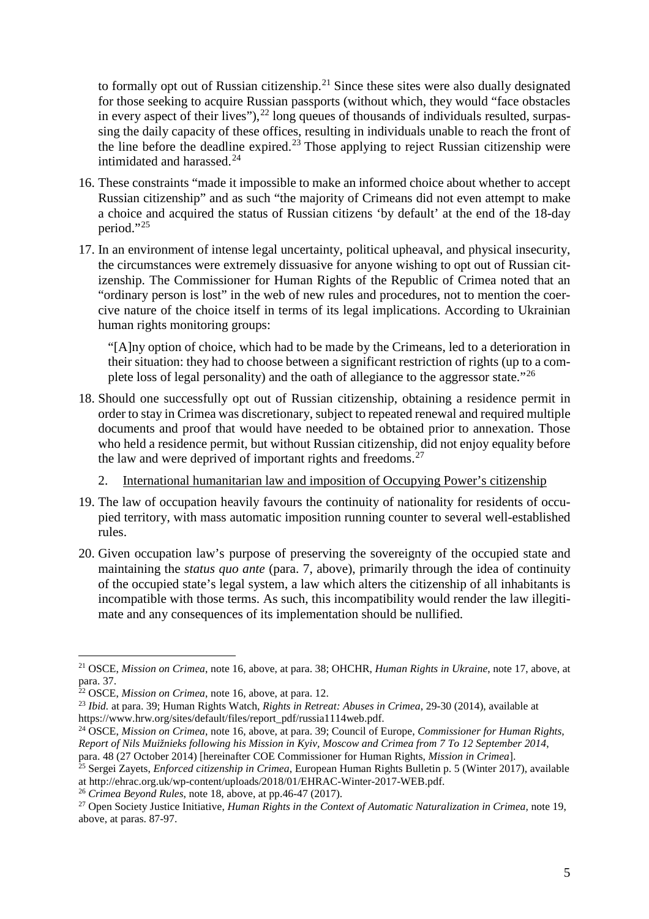to formally opt out of Russian citizenship.[21](#page-4-0) Since these sites were also dually designated for those seeking to acquire Russian passports (without which, they would "face obstacles in every aspect of their lives"),<sup>[22](#page-4-1)</sup> long queues of thousands of individuals resulted, surpassing the daily capacity of these offices, resulting in individuals unable to reach the front of the line before the deadline expired.<sup>[23](#page-4-2)</sup> Those applying to reject Russian citizenship were intimidated and harassed.<sup>[24](#page-4-3)</sup>

- 16. These constraints "made it impossible to make an informed choice about whether to accept Russian citizenship" and as such "the majority of Crimeans did not even attempt to make a choice and acquired the status of Russian citizens 'by default' at the end of the 18-day period."[25](#page-4-4)
- 17. In an environment of intense legal uncertainty, political upheaval, and physical insecurity, the circumstances were extremely dissuasive for anyone wishing to opt out of Russian citizenship. The Commissioner for Human Rights of the Republic of Crimea noted that an "ordinary person is lost" in the web of new rules and procedures, not to mention the coercive nature of the choice itself in terms of its legal implications. According to Ukrainian human rights monitoring groups:

"[A]ny option of choice, which had to be made by the Crimeans, led to a deterioration in their situation: they had to choose between a significant restriction of rights (up to a complete loss of legal personality) and the oath of allegiance to the aggressor state."[26](#page-4-5)

- 18. Should one successfully opt out of Russian citizenship, obtaining a residence permit in order to stay in Crimea was discretionary, subject to repeated renewal and required multiple documents and proof that would have needed to be obtained prior to annexation. Those who held a residence permit, but without Russian citizenship, did not enjoy equality before the law and were deprived of important rights and freedoms. $27$ 
	- 2. International humanitarian law and imposition of Occupying Power's citizenship
- 19. The law of occupation heavily favours the continuity of nationality for residents of occupied territory, with mass automatic imposition running counter to several well-established rules.
- 20. Given occupation law's purpose of preserving the sovereignty of the occupied state and maintaining the *status quo ante* (para. 7, above), primarily through the idea of continuity of the occupied state's legal system, a law which alters the citizenship of all inhabitants is incompatible with those terms. As such, this incompatibility would render the law illegitimate and any consequences of its implementation should be nullified.

<span id="page-4-0"></span> <sup>21</sup> OSCE, *Mission on Crimea*, note 16, above, at para. 38; OHCHR, *Human Rights in Ukraine*, note 17, above, at para. 37.

<span id="page-4-1"></span><sup>22</sup> OSCE, *Mission on Crimea*, note 16, above, at para. 12.

<span id="page-4-2"></span><sup>23</sup> *Ibid.* at para. 39; Human Rights Watch, *Rights in Retreat: Abuses in Crimea*, 29-30 (2014), available at https://www.hrw.org/sites/default/files/report\_pdf/russia1114web.pdf.

<span id="page-4-3"></span><sup>24</sup> OSCE, *Mission on Crimea*, note 16, above, at para. 39; Council of Europe, *Commissioner for Human Rights,* Report of Nils Muižnieks following his Mission in Kyiv, Moscow and Crimea from 7 To 12 September 2014,

<span id="page-4-4"></span>para. 48 (27 October 2014) [hereinafter COE Commissioner for Human Rights, *Mission in Crimea*]. <sup>25</sup> Sergei Zayets, *Enforced citizenship in Crimea*, European Human Rights Bulletin p. 5 (Winter 2017), available at http://ehrac.org.uk/wp-content/uploads/2018/01/EHRAC-Winter-2017-WEB.pdf.

<span id="page-4-5"></span><sup>26</sup> *Crimea Beyond Rules*, note 18, above, at pp.46-47 (2017).

<span id="page-4-6"></span><sup>27</sup> Open Society Justice Initiative, *Human Rights in the Context of Automatic Naturalization in Crimea,* note 19, above, at paras. 87-97.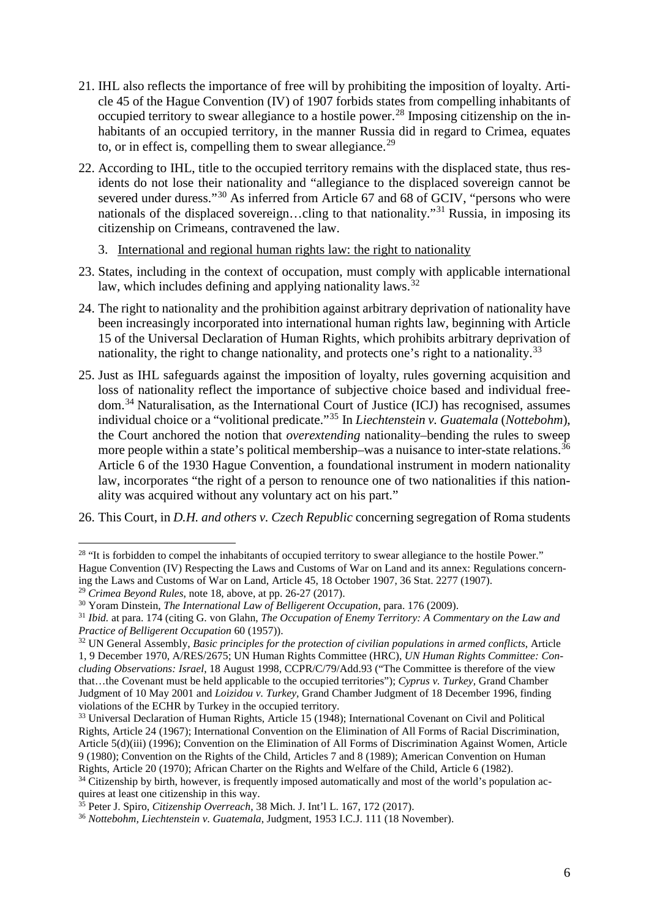- 21. IHL also reflects the importance of free will by prohibiting the imposition of loyalty. Article 45 of the Hague Convention (IV) of 1907 forbids states from compelling inhabitants of occupied territory to swear allegiance to a hostile power.<sup>[28](#page-5-0)</sup> Imposing citizenship on the inhabitants of an occupied territory, in the manner Russia did in regard to Crimea, equates to, or in effect is, compelling them to swear allegiance.<sup>[29](#page-5-1)</sup>
- 22. According to IHL, title to the occupied territory remains with the displaced state, thus residents do not lose their nationality and "allegiance to the displaced sovereign cannot be severed under duress."<sup>[30](#page-5-2)</sup> As inferred from Article 67 and 68 of GCIV, "persons who were nationals of the displaced sovereign...cling to that nationality."<sup>[31](#page-5-3)</sup> Russia, in imposing its citizenship on Crimeans, contravened the law.
	- 3. International and regional human rights law: the right to nationality
- 23. States, including in the context of occupation, must comply with applicable international law, which includes defining and applying nationality laws.  $32$
- 24. The right to nationality and the prohibition against arbitrary deprivation of nationality have been increasingly incorporated into international human rights law, beginning with Article 15 of the Universal Declaration of Human Rights, which prohibits arbitrary deprivation of nationality, the right to change nationality, and protects one's right to a nationality.<sup>[33](#page-5-5)</sup>
- 25. Just as IHL safeguards against the imposition of loyalty, rules governing acquisition and loss of nationality reflect the importance of subjective choice based and individual freedom.[34](#page-5-6) Naturalisation, as the International Court of Justice (ICJ) has recognised, assumes individual choice or a "volitional predicate."[35](#page-5-7) In *Liechtenstein v. Guatemala* (*Nottebohm*), the Court anchored the notion that *overextending* nationality–bending the rules to sweep more people within a state's political membership–was a nuisance to inter-state relations.<sup>[36](#page-5-8)</sup> Article 6 of the 1930 Hague Convention, a foundational instrument in modern nationality law, incorporates "the right of a person to renounce one of two nationalities if this nationality was acquired without any voluntary act on his part."
- 26. This Court, in *D.H. and others v. Czech Republic* concerning segregation of Roma students

<span id="page-5-0"></span><sup>&</sup>lt;sup>28</sup> "It is forbidden to compel the inhabitants of occupied territory to swear allegiance to the hostile Power." Hague Convention (IV) Respecting the Laws and Customs of War on Land and its annex: Regulations concerning the Laws and Customs of War on Land, Article 45, 18 October 1907, 36 Stat. 2277 (1907).

<span id="page-5-1"></span><sup>29</sup> *Crimea Beyond Rules*, note 18, above, at pp. 26-27 (2017).

<span id="page-5-2"></span><sup>30</sup> Yoram Dinstein, *The International Law of Belligerent Occupation*, para. 176 (2009).

<span id="page-5-3"></span><sup>31</sup> *Ibid.* at para. 174 (citing G. von Glahn, *The Occupation of Enemy Territory: A Commentary on the Law and Practice of Belligerent Occupation* 60 (1957)).

<span id="page-5-4"></span><sup>32</sup> UN General Assembly, *Basic principles for the protection of civilian populations in armed conflicts*, Article

<sup>1,</sup> 9 December 1970, A/RES/2675; UN Human Rights Committee (HRC), *UN Human Rights Committee: Concluding Observations: Israel*, 18 August 1998, CCPR/C/79/Add.93 ("The Committee is therefore of the view that…the Covenant must be held applicable to the occupied territories"); *Cyprus v. Turkey,* Grand Chamber Judgment of 10 May 2001 and *Loizidou v. Turkey,* Grand Chamber Judgment of 18 December 1996, finding violations of the ECHR by Turkey in the occupied territory.

<span id="page-5-5"></span><sup>&</sup>lt;sup>33</sup> Universal Declaration of Human Rights, Article 15 (1948); International Covenant on Civil and Political Rights, Article 24 (1967); International Convention on the Elimination of All Forms of Racial Discrimination, Article 5(d)(iii) (1996); Convention on the Elimination of All Forms of Discrimination Against Women, Article 9 (1980); Convention on the Rights of the Child, Articles 7 and 8 (1989); American Convention on Human Rights, Article 20 (1970); African Charter on the Rights and Welfare of the Child, Article 6 (1982).

<span id="page-5-6"></span><sup>&</sup>lt;sup>34</sup> Citizenship by birth, however, is frequently imposed automatically and most of the world's population acquires at least one citizenship in this way.

<span id="page-5-7"></span><sup>35</sup> Peter J. Spiro, *Citizenship Overreach*, 38 Mich. J. Int'l L. 167, 172 (2017).

<span id="page-5-8"></span><sup>36</sup> *Nottebohm, Liechtenstein v. Guatemala*, Judgment, 1953 I.C.J. 111 (18 November).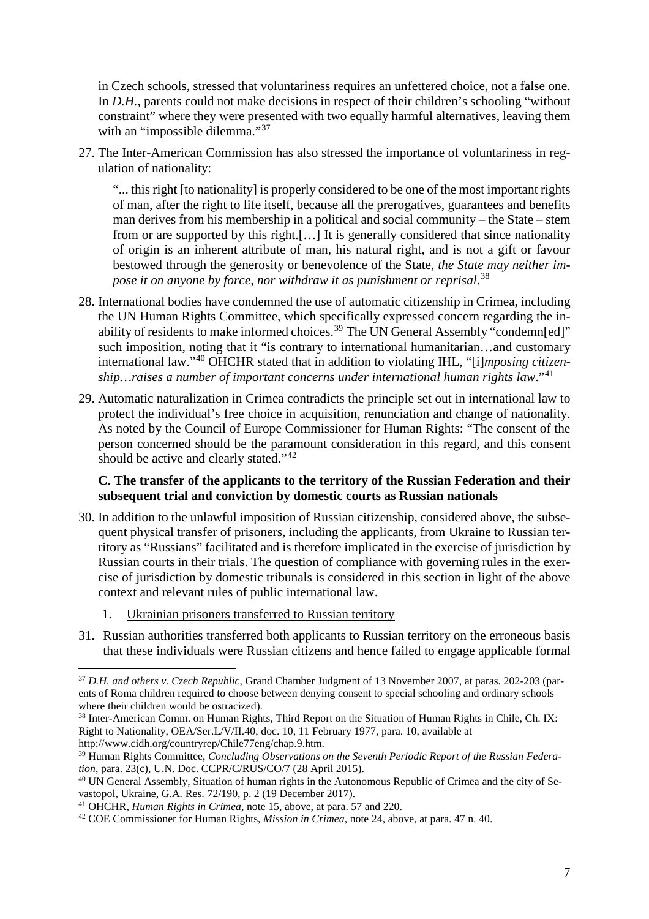in Czech schools, stressed that voluntariness requires an unfettered choice, not a false one. In *D.H.*, parents could not make decisions in respect of their children's schooling "without constraint" where they were presented with two equally harmful alternatives, leaving them with an "impossible dilemma."<sup>[37](#page-6-0)</sup>

27. The Inter-American Commission has also stressed the importance of voluntariness in regulation of nationality:

"... this right [to nationality] is properly considered to be one of the most important rights of man, after the right to life itself, because all the prerogatives, guarantees and benefits man derives from his membership in a political and social community – the State – stem from or are supported by this right.[…] It is generally considered that since nationality of origin is an inherent attribute of man, his natural right, and is not a gift or favour bestowed through the generosity or benevolence of the State, *the State may neither impose it on anyone by force, nor withdraw it as punishment or reprisal*. [38](#page-6-1)

- 28. International bodies have condemned the use of automatic citizenship in Crimea, including the UN Human Rights Committee, which specifically expressed concern regarding the in-ability of residents to make informed choices.<sup>[39](#page-6-2)</sup> The UN General Assembly "condemn[ed]" such imposition, noting that it "is contrary to international humanitarian...and customary international law."[40](#page-6-3) OHCHR stated that in addition to violating IHL, "[i]*mposing citizenship…raises a number of important concerns under international human rights law*."[41](#page-6-4)
- 29. Automatic naturalization in Crimea contradicts the principle set out in international law to protect the individual's free choice in acquisition, renunciation and change of nationality. As noted by the Council of Europe Commissioner for Human Rights: "The consent of the person concerned should be the paramount consideration in this regard, and this consent should be active and clearly stated."<sup>[42](#page-6-5)</sup>

#### **C. The transfer of the applicants to the territory of the Russian Federation and their subsequent trial and conviction by domestic courts as Russian nationals**

- 30. In addition to the unlawful imposition of Russian citizenship, considered above, the subsequent physical transfer of prisoners, including the applicants, from Ukraine to Russian territory as "Russians" facilitated and is therefore implicated in the exercise of jurisdiction by Russian courts in their trials. The question of compliance with governing rules in the exercise of jurisdiction by domestic tribunals is considered in this section in light of the above context and relevant rules of public international law.
	- 1. Ukrainian prisoners transferred to Russian territory
- 31. Russian authorities transferred both applicants to Russian territory on the erroneous basis that these individuals were Russian citizens and hence failed to engage applicable formal

<span id="page-6-0"></span> <sup>37</sup> *D.H. and others v. Czech Republic*, Grand Chamber Judgment of <sup>13</sup> November 2007, at paras. 202-203 (parents of Roma children required to choose between denying consent to special schooling and ordinary schools where their children would be ostracized).

<span id="page-6-1"></span><sup>38</sup> Inter-American Comm. on Human Rights, Third Report on the Situation of Human Rights in Chile, Ch. IX: Right to Nationality, OEA/Ser.L/V/II.40, doc. 10, 11 February 1977, para. 10, available at http://www.cidh.org/countryrep/Chile77eng/chap.9.htm.

<span id="page-6-2"></span><sup>39</sup> Human Rights Committee, *Concluding Observations on the Seventh Periodic Report of the Russian Federation*, para. 23(c), U.N. Doc. CCPR/C/RUS/CO/7 (28 April 2015).

<span id="page-6-3"></span><sup>&</sup>lt;sup>40</sup> UN General Assembly, Situation of human rights in the Autonomous Republic of Crimea and the city of Sevastopol, Ukraine, G.A. Res. 72/190, p. 2 (19 December 2017).

<span id="page-6-4"></span><sup>41</sup> OHCHR, *Human Rights in Crimea*, note 15, above, at para. 57 and 220.

<span id="page-6-5"></span><sup>42</sup> COE Commissioner for Human Rights, *Mission in Crimea*, note 24, above, at para. 47 n. 40.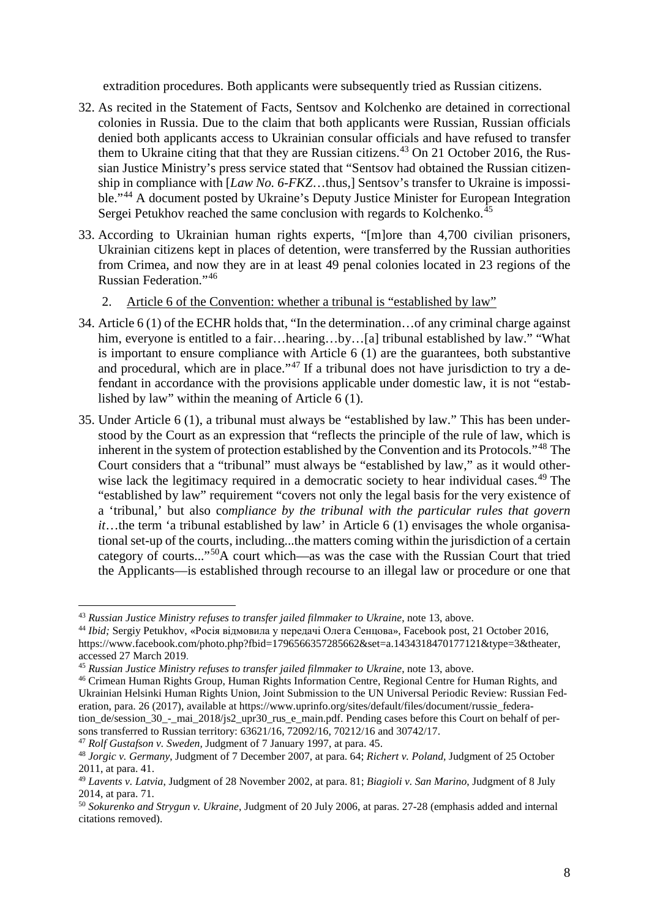extradition procedures. Both applicants were subsequently tried as Russian citizens.

- 32. As recited in the Statement of Facts, Sentsov and Kolchenko are detained in correctional colonies in Russia. Due to the claim that both applicants were Russian, Russian officials denied both applicants access to Ukrainian consular officials and have refused to transfer them to Ukraine citing that that they are Russian citizens.<sup>[43](#page-7-0)</sup> On 21 October 2016, the Russian Justice Ministry's press service stated that "Sentsov had obtained the Russian citizenship in compliance with [*Law No. 6-FKZ*…thus,] Sentsov's transfer to Ukraine is impossi-ble."<sup>[44](#page-7-1)</sup> A document posted by Ukraine's Deputy Justice Minister for European Integration Sergei Petukhov reached the same conclusion with regards to Kolchenko.<sup>[45](#page-7-2)</sup>
- 33. According to Ukrainian human rights experts, "[m]ore than 4,700 civilian prisoners, Ukrainian citizens kept in places of detention, were transferred by the Russian authorities from Crimea, and now they are in at least 49 penal colonies located in 23 regions of the Russian Federation."[46](#page-7-3)
	- 2. Article 6 of the Convention: whether a tribunal is "established by law"
- 34. Article 6 (1) of the ECHR holds that, "In the determination…of any criminal charge against him, everyone is entitled to a fair...hearing...by...[a] tribunal established by law." "What is important to ensure compliance with Article 6 (1) are the guarantees, both substantive and procedural, which are in place."<sup>[47](#page-7-4)</sup> If a tribunal does not have jurisdiction to try a defendant in accordance with the provisions applicable under domestic law, it is not "established by law" within the meaning of Article 6 (1).
- 35. Under Article 6 (1), a tribunal must always be "established by law." This has been understood by the Court as an expression that "reflects the principle of the rule of law, which is inherent in the system of protection established by the Convention and its Protocols."[48](#page-7-5) The Court considers that a "tribunal" must always be "established by law," as it would other-wise lack the legitimacy required in a democratic society to hear individual cases.<sup>[49](#page-7-6)</sup> The "established by law" requirement "covers not only the legal basis for the very existence of a 'tribunal,' but also co*mpliance by the tribunal with the particular rules that govern it*…the term 'a tribunal established by law' in Article 6 (1) envisages the whole organisational set-up of the courts, including...the matters coming within the jurisdiction of a certain category of courts..."[50](#page-7-7)A court which—as was the case with the Russian Court that tried the Applicants—is established through recourse to an illegal law or procedure or one that

<span id="page-7-4"></span><sup>47</sup> *Rolf Gustafson v. Sweden,* Judgment of 7 January 1997, at para. 45.

<span id="page-7-0"></span> <sup>43</sup> *Russian Justice Ministry refuses to transfer jailed filmmaker to Ukraine*, note 13, above.

<span id="page-7-1"></span><sup>44</sup> *Ibid;* Sergiy Petukhov, «Росія відмовила у передачі Олега Сенцова», Facebook post, 21 October 2016, [https://www.facebook.com/photo.php?fbid=1796566357285662&set=a.1434318470177121&type=3&theater,](https://www.facebook.com/photo.php?fbid=1796566357285662&set=a.1434318470177121&type=3&theater) accessed 27 March 2019.

<span id="page-7-2"></span><sup>45</sup> *Russian Justice Ministry refuses to transfer jailed filmmaker to Ukraine*, note 13, above.

<span id="page-7-3"></span><sup>46</sup> Crimean Human Rights Group, Human Rights Information Centre, Regional Centre for Human Rights, and Ukrainian Helsinki Human Rights Union, Joint Submission to the UN Universal Periodic Review: Russian Federation, para. 26 (2017), available at https://www.uprinfo.org/sites/default/files/document/russie\_federation\_de/session\_30\_-\_mai\_2018/js2\_upr30\_rus\_e\_main.pdf. Pending cases before this Court on behalf of per-

sons transferred to Russian territory: 63621/16, 72092/16, 70212/16 and 30742/17.

<span id="page-7-5"></span><sup>48</sup> *Jorgic v. Germany*, Judgment of 7 December 2007, at para. 64; *Richert v. Poland*, Judgment of 25 October 2011, at para. 41.

<span id="page-7-6"></span><sup>49</sup> *Lavents v. Latvia*, Judgment of 28 November 2002, at para. 81; *Biagioli v. San Marino*, Judgment of 8 July 2014, at para. 71.

<span id="page-7-7"></span><sup>50</sup> *Sokurenko and Strygun v. Ukraine*, Judgment of 20 July 2006, at paras. 27-28 (emphasis added and internal citations removed).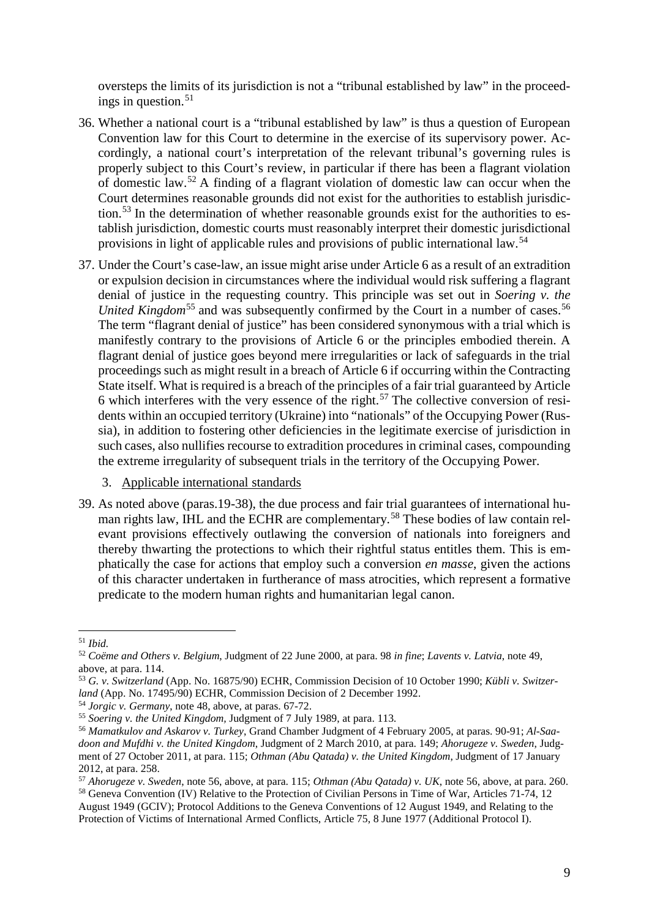oversteps the limits of its jurisdiction is not a "tribunal established by law" in the proceed-ings in question.<sup>[51](#page-8-0)</sup>

- 36. Whether a national court is a "tribunal established by law" is thus a question of European Convention law for this Court to determine in the exercise of its supervisory power. Accordingly, a national court's interpretation of the relevant tribunal's governing rules is properly subject to this Court's review, in particular if there has been a flagrant violation of domestic law.[52](#page-8-1) A finding of a flagrant violation of domestic law can occur when the Court determines reasonable grounds did not exist for the authorities to establish jurisdiction.[53](#page-8-2) In the determination of whether reasonable grounds exist for the authorities to establish jurisdiction, domestic courts must reasonably interpret their domestic jurisdictional provisions in light of applicable rules and provisions of public international law.[54](#page-8-3)
- 37. Under the Court's case-law, an issue might arise under Article 6 as a result of an extradition or expulsion decision in circumstances where the individual would risk suffering a flagrant denial of justice in the requesting country. This principle was set out in *Soering v. the United Kingdom*<sup>[55](#page-8-4)</sup> and was subsequently confirmed by the Court in a number of cases.<sup>[56](#page-8-5)</sup> The term "flagrant denial of justice" has been considered synonymous with a trial which is manifestly contrary to the provisions of Article 6 or the principles embodied therein. A flagrant denial of justice goes beyond mere irregularities or lack of safeguards in the trial proceedings such as might result in a breach of Article 6 if occurring within the Contracting State itself. What is required is a breach of the principles of a fair trial guaranteed by Article 6 which interferes with the very essence of the right.<sup>[57](#page-8-6)</sup> The collective conversion of residents within an occupied territory (Ukraine) into "nationals" of the Occupying Power (Russia), in addition to fostering other deficiencies in the legitimate exercise of jurisdiction in such cases, also nullifies recourse to extradition procedures in criminal cases, compounding the extreme irregularity of subsequent trials in the territory of the Occupying Power.
	- 3. Applicable international standards
- 39. As noted above (paras.19-38), the due process and fair trial guarantees of international hu-man rights law, IHL and the ECHR are complementary.<sup>[58](#page-8-7)</sup> These bodies of law contain relevant provisions effectively outlawing the conversion of nationals into foreigners and thereby thwarting the protections to which their rightful status entitles them. This is emphatically the case for actions that employ such a conversion *en masse*, given the actions of this character undertaken in furtherance of mass atrocities, which represent a formative predicate to the modern human rights and humanitarian legal canon.

<span id="page-8-0"></span> <sup>51</sup> *Ibid.*

<span id="page-8-1"></span><sup>52</sup> *Coëme and Others v. Belgium*, Judgment of 22 June 2000, at para. 98 *in fine*; *Lavents v. Latvia*, note 49, above, at para. 114.

<span id="page-8-2"></span><sup>53</sup> *G. v. Switzerland* (App. No. 16875/90) ECHR, Commission Decision of 10 October 1990; *Kübli v. Switzerland* (App. No. 17495/90) ECHR, Commission Decision of 2 December 1992.

<span id="page-8-3"></span><sup>54</sup> *Jorgic v. Germany*, note 48, above, at paras. 67-72.

<span id="page-8-4"></span><sup>55</sup> *Soering v. the United Kingdom,* Judgment of 7 July 1989, at para. 113*.*

<span id="page-8-5"></span><sup>56</sup> *Mamatkulov and Askarov v. Turkey*, Grand Chamber Judgment of 4 February 2005, at paras. 90-91; *Al-Saadoon and Mufdhi v. the United Kingdom*, Judgment of 2 March 2010, at para. 149; *Ahorugeze v. Sweden*, Judgment of 27 October 2011, at para. 115; *Othman (Abu Qatada) v. the United Kingdom*, Judgment of 17 January 2012, at para. 258.

<span id="page-8-6"></span><sup>57</sup> *Ahorugeze v. Sweden*, note 56, above, at para. 115; *Othman (Abu Qatada) v. UK*, note 56, above, at para. 260. <sup>58</sup> Geneva Convention (IV) Relative to the Protection of Civilian Persons in Time of War, Articles 71-74, 12

<span id="page-8-7"></span>August 1949 (GCIV); Protocol Additions to the Geneva Conventions of 12 August 1949, and Relating to the Protection of Victims of International Armed Conflicts, Article 75, 8 June 1977 (Additional Protocol I).